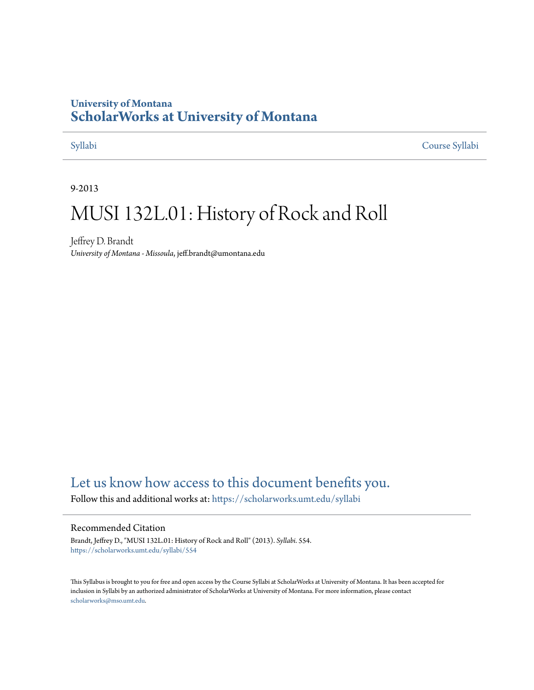### **University of Montana [ScholarWorks at University of Montana](https://scholarworks.umt.edu?utm_source=scholarworks.umt.edu%2Fsyllabi%2F554&utm_medium=PDF&utm_campaign=PDFCoverPages)**

[Syllabi](https://scholarworks.umt.edu/syllabi?utm_source=scholarworks.umt.edu%2Fsyllabi%2F554&utm_medium=PDF&utm_campaign=PDFCoverPages) [Course Syllabi](https://scholarworks.umt.edu/course_syllabi?utm_source=scholarworks.umt.edu%2Fsyllabi%2F554&utm_medium=PDF&utm_campaign=PDFCoverPages)

9-2013

# MUSI 132L.01: History of Rock and Roll

Jeffrey D. Brandt *University of Montana - Missoula*, jeff.brandt@umontana.edu

### [Let us know how access to this document benefits you.](https://goo.gl/forms/s2rGfXOLzz71qgsB2)

Follow this and additional works at: [https://scholarworks.umt.edu/syllabi](https://scholarworks.umt.edu/syllabi?utm_source=scholarworks.umt.edu%2Fsyllabi%2F554&utm_medium=PDF&utm_campaign=PDFCoverPages)

### Recommended Citation

Brandt, Jeffrey D., "MUSI 132L.01: History of Rock and Roll" (2013). *Syllabi*. 554. [https://scholarworks.umt.edu/syllabi/554](https://scholarworks.umt.edu/syllabi/554?utm_source=scholarworks.umt.edu%2Fsyllabi%2F554&utm_medium=PDF&utm_campaign=PDFCoverPages)

This Syllabus is brought to you for free and open access by the Course Syllabi at ScholarWorks at University of Montana. It has been accepted for inclusion in Syllabi by an authorized administrator of ScholarWorks at University of Montana. For more information, please contact [scholarworks@mso.umt.edu](mailto:scholarworks@mso.umt.edu).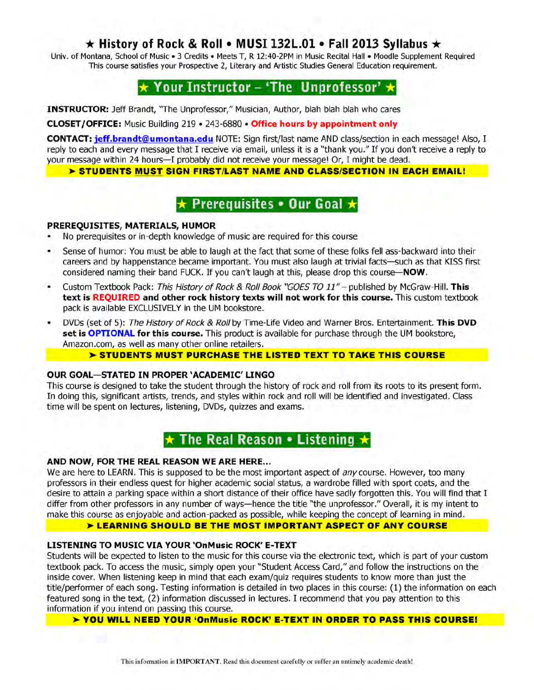### **★ History of Rock & Roll \* MUSI 132L.01 • Fall 2013 Syllabus ★**

Univ. of Montana, School of Music • 3 Credits • Meets T, R 12:40-2PM in Music Recital Hall • Moodle Supplement Required This course satisfies your Prospective 2, Literary and Artistic Studies General Education requirement.

### **★ Your Instructor - 'The Unprofessor' ★**

**INSTRUCTOR:** Jeff Brandt, "The Unprofessor," Musician, Author, blah blah blah who cares

**CLOSET/OFFICE:** Music Building 219 • 243-6880 • **Office hours by appointment only**

**CONTACT: ieff.brandt@umontana.edu** NOTE: Sign first/last name AND class/section in each message! Also, I reply to each and every message that I receive via email, unless it is a "thank you." If you don't receive a reply to your message within 24 hours—I probably did not receive your message! Or, I might be dead.

### *>* **STUDENTS MUST SIGN FIRST/LAST NAME AND CLASS/SECTION IN EACH EMAIL!**

### **★ Prerequisites • Our Goal ★**

### **PREREQUISITES, MATERIALS, HUMOR**

- No prerequisites or in-depth knowledge of music are required for this course
- Sense of humor: You must be able to laugh at the fact that some of these folks fell ass-backward into their careers and by happenstance became important. You must also laugh at trivial facts—such as that KISS first considered naming their band FUCK. If you can't laugh at this, please drop this course—**NOW.**
- Custom Textbook Pack: *This History o f Rock & Roll Book "GOES TO 11*" published by McGraw-Flill. **This text is REQUIRED and other rock history texts will not work for this course.** This custom textbook pack is available EXCLUSIVELY in the UM bookstore.
- DVDs (set of 5): *The History o f Rock & Roll* by Time-Life Video and Warner Bros. Entertainment. **This DVD set is OPTIONAL for this course.** This product is available for purchase through the UM bookstore, Amazon.com, as well as many other online retailers.

### $>$  **STUDENTS MUST PURCHASE THE LISTED TEXT TO TAKE THIS COURSE**

### **OUR GOAL—STATED IN PROPER'ACADEMIC' LINGO**

This course is designed to take the student through the history of rock and roll from its roots to its present form. In doing this, significant artists, trends, and styles within rock and roll will be identified and investigated. Class time will be spent on lectures, listening, DVDs, quizzes and exams.

### **★ The Real Reason • Listening ★**

### **AND NOW, FOR THE REAL REASON WE ARE HERE...**

We are here to LEARN. This is supposed to be the most important aspect of any course. However, too many professors in their endless quest for higher academic social status, a wardrobe filled with sport coats, and the desire to attain a parking space within a short distance of their office have sadly forgotten this. You will find that I differ from other professors in any number of ways—hence the title "the unprofessor." Overall, it is my intent to make this course as enjoyable and action-packed as possible, while keeping the concept of learning in mind.

### $\triangleright$  **LEARNING SHOULD BE THE MOST IMPORTANT ASPECT OF ANY COURSE**

### **LISTENING TO MUSIC VIA YOUR'OnMusic ROCK' E-TEXT**

Students will be expected to listen to the music for this course via the electronic text, which is part of your custom textbook pack. To access the music, simply open your "Student Access Card," and follow the instructions on the inside cover. When listening keep in mind that each exam/quiz requires students to know more than just the title/performer of each song. Testing information is detailed in two places in this course: (1) the information on each featured song in the text, (2) information discussed in lectures. I recommend that you pay attention to this information if you intend on passing this course.

### *>* **YOU WILL NEED YOUR 'OnMusic ROCK' E-TEXT IN ORDER TO PASS TH IS COURSE!**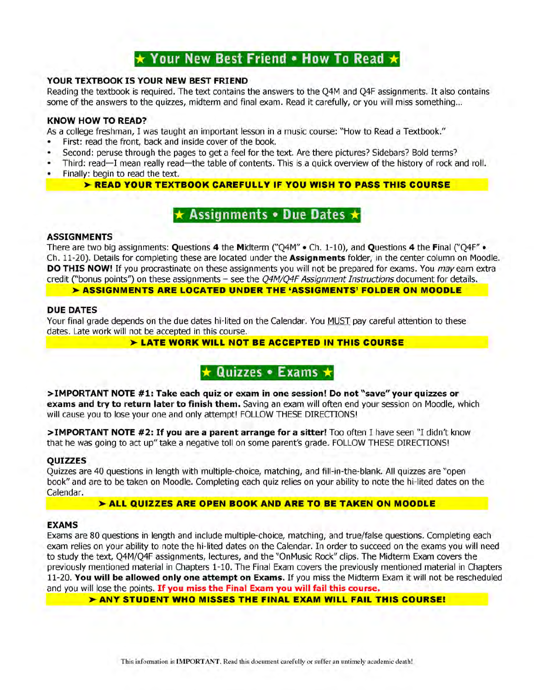### **★ Your New Best Friend • How To Read ★**

### **YOUR TEXTBOOK IS YOUR NEW BEST FRIEND**

Reading the textbook is required. The text contains the answers to the Q4M and Q4F assignments. It also contains some of the answers to the quizzes, midterm and final exam. Read it carefully, or you will miss something...

### **KNOW HOW TO READ?**

As a college freshman, I was taught an important lesson in a music course: "How to Read a Textbook."

- First: read the front, back and inside cover of the book.
- Second: peruse through the pages to get a feel for the text. Are there pictures? Sidebars? Bold terms?
- Third: read—I mean really read—the table of contents. This is a quick overview of the history of rock and roll.
- Finally: begin to read the text.
	- *>* **READ YOUR TEXTBOOK CAREFULLY IF YOU WISH TO PASS THIS COURSE**

### **★ Assignments • Due Dates ★**

#### **ASSIGNMENTS**

There are two big assignments: Questions **4** the Midterm ("Q4M" • Ch. 1-10), and Questions **4** the Final ("Q4F" • Ch. 11-20). Details for completing these are located under the **Assignments** folder, in the center column on Moodle. **DO THIS NOW!** If you procrastinate on these assignments you will not be prepared for exams. You *may earn* extra credit ("bonus points") on these assignments - see the *Q4M/Q4F Assignment Instructions* document for details.

*>* **ASSIGNMENTS ARE LOCATED UNDER THE 'ASSIGMENTS' FOLDER ON MOODLE** 

#### **DUE DATES**

Your final grade depends on the due dates hi-lited on the Calendar. You MUST pay careful attention to these dates. Late work will not be accepted in this course.

**>LATE WORK WILL NOT BE ACCEPTED IN THIS COURSE** 

### **★ Quizzes • Exams ★**

**>IMPORTANT NOTE #1: Take each quiz or exam in one session! Do not "save" your quizzes or exams and try to return later to finish them.** Saving an exam will often end your session on Moodle, which will cause you to lose your one and only attempt! FOLLOW THESE DIRECTIONS!

**>IMPORTANT NOTE #2: If you are a parent arrange for a sitter!** Too often I have seen "I didn't know that he was going to act up" take a negative toll on some parent's grade. FOLLOW THESE DIRECTIONS!

#### **QUIZZES**

Quizzes are 40 questions in length with multiple-choice, matching, and fill-in-the-blank. All quizzes are "open book" and are to be taken on Moodle. Completing each quiz relies on your ability to note the hi-lited dates on the Calendar.

#### *>* **ALL QUIZZES ARE OPEN BOOK AND ARE TO BE TAKEN ON MOODLE**

### **EXAMS**

Exams are 80 questions in length and include multiple-choice, matching, and true/false questions. Completing each exam relies on your ability to note the hi-lited dates on the Calendar. In order to succeed on the exams you will need to study the text, Q4M/Q4F assignments, lectures, and the "OnMusic Rock" clips. The Midterm Exam covers the previously mentioned material in Chapters 1-10. The Final Exam covers the previously mentioned material in Chapters 11-20. **You will be allowed only one attem pt on Exams.** If you miss the Midterm Exam it will not be rescheduled and you will lose the points. If you miss the Final Exam you will fail this course.

**> ANY STUDENT WHO MISSES THE FINAL EXAM WILL FAIL THIS COURSE!**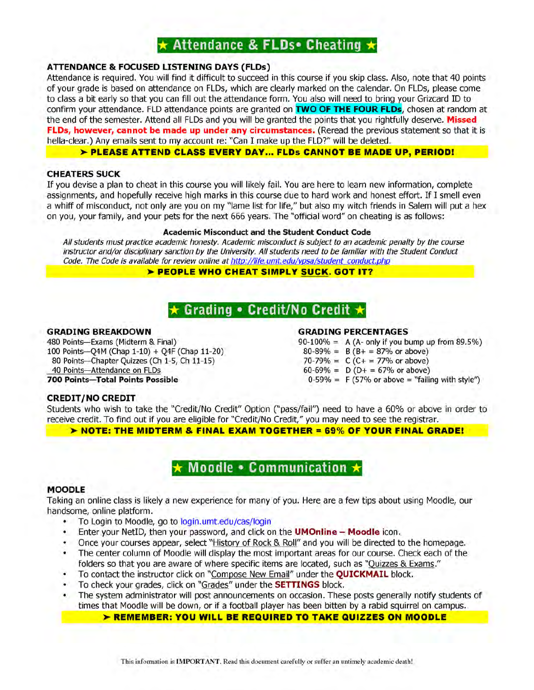### **★ Attendance & FLDs\* Cheating ★**

### **ATTENDANCE & FOCUSED LISTENING DAYS (FLDs)**

Attendance is required. You will find it difficult to succeed in this course if you skip class. Also, note that 40 points of your grade is based on attendance on FLDs, which are clearly marked on the calendar. On FLDs, please come to class a bit early so that you can fill out the attendance form. You also will need to bring your Grizcard ID to confirm your attendance. FLD attendance points are granted on **TWO OF THE FOUR FLDs,** chosen at random at the end of the semester. Attend all FLDs and you will be granted the points that you rightfully deserve. **Missed** FLDs, however, cannot be made up under any circumstances. (Reread the previous statement so that it is hella-clear.) Any emails sent to my account re: "Can I make up the FLD?" will be deleted.

*>* **PLEASE ATTEND CLASS EVERY DAY... FLDs CANNOT BE MADE UP, PERIOD!**

### **CHEATERS SUCK**

If you devise a plan to cheat in this course you will likely fail. You are here to learn new information, complete assignments, and hopefully receive high marks in this course due to hard work and honest effort. If I smell even a whiff of misconduct, not only are you on my "lame list for life," but also my witch friends in Salem will put a hex on you, your family, and your pets for the next 666 years. The "official word" on cheating is as follows:

#### **Academic Misconduct and the Student Conduct Code**

*All students must practice academic honesty. Academic misconduct is subject to an academic penalty by the course instructor and/or disciplinary sanction by the University. All students need to be familiar with the Student Conduct Code. The Code is available for review online at http://life, umt.edu/vpsa/student conduct.oho*

**> PEOPLE WHO CHEAT SIMPLY SUCK. GOT IT?** 

### **★ Grading • Credit/No Credit ★**

#### **GRADING BREAKDOWN**

40 Points—Attendance on FLDs **70 0 Points—Total Points Possible**

480 Points—Exams (Midterm & Final) 100 Points—Q4M (Chap 1-10) + Q4F (Chap 11-20) 80 Points—Chapter Quizzes (Ch 1-5, Ch 11-15)

**GRADING PERCENTAGES**

 $90-100\% = A (A- only if you bump up from 89.5\%)$  $80-89\% = B(B + 87\%)$  or above)  $70-79\% = C (C + 77\% \text{ or above})$  $60-69\% = D (D + 67\% \text{ or above})$  $0-59\% = F(57\% \text{ or above} = "failure with style")$ 

### **CREDIT/NO CREDIT**

Students who wish to take the "Credit/No Credit" Option ("pass/fail") need to have a 60% or above in order to receive credit. To find out if you are eligible for "Credit/No Credit," you may need to see the registrar.

### *>* **NOTE: THE MIDTERM & FINAL EXAM TOGETHER = 69% OF YOUR FINAL GRADE!**

**★ Moodle • Communication ★**

### **MOODLE**

Taking an online class is likely a new experience for many of you. Here are a few tips about using Moodle, our handsome, online platform.

- To Login to Moodle, go to login.umt.edu/cas/login
- Enter your NetID, then your password, and click on the **UMOnline Moodle** icon.
- Once your courses appear, select "History of Rock & Roll" and you will be directed to the homepage.
- The center column of Moodle will display the most important areas for our course. Check each of the folders so that you are aware of where specific items are located, such as "Quizzes & Exams."
- To contact the instructor click on "Compose New Email" under the **QUICKMAIL** block.
- To check your grades, click on "Grades" under the **SETTINGS** block.
- The system administrator will post announcements on occasion. These posts generally notify students of times that Moodle will be down, or if a football player has been bitten by a rabid squirrel on campus.

*>* REMEMBER: YOU WILL BE REQUIRED TO TAKE QUIZZES ON MOODLE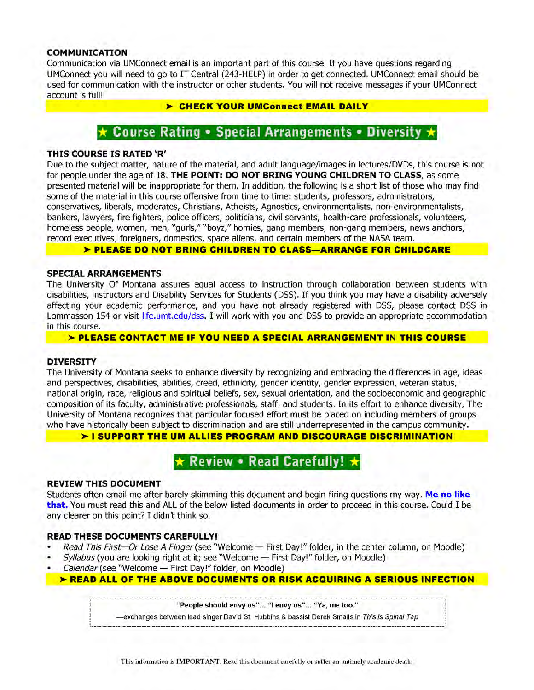#### **COMMUNICATION**

Communication via UMConnect email is an important part of this course. If you have questions regarding UMConnect you will need to go to IT Central (243-HELP) in order to get connected. UMConnect email should be used for communication with the instructor or other students. You will not receive messages if your UMConnect account is full!

### *>* **CHECK YOUR UM Connect EMAIL DAILY**

### **★ Course Rating • Special Arrangements • Diversity ★**

### **THIS COURSE IS RATED 'R'**

Due to the subject matter, nature of the material, and adult language/images in lectures/DVDs, this course is not for people under the age of 18. **THE POINT: DO NOT BRING YOUNG CHILDREN TO CLASS,** as some presented material will be inappropriate for them. In addition, the following is a short list of those who may find some of the material in this course offensive from time to time: students, professors, administrators, conservatives, liberals, moderates, Christians, Atheists, Agnostics, environmentalists, non-environmentalists, bankers, lawyers, firefighters, police officers, politicians, civil servants, health-care professionals, volunteers, homeless people, women, men, "gurls," "boyz," homies, gang members, non-gang members, news anchors, record executives, foreigners, domestics, space aliens, and certain members of the NASA team.

### *>* **PLEASE DO NOT BRING CHILDREN TO CLASS—ARRANGE FOR CHILDCARE**

### **SPECIAL ARRANGEMENTS**

The University Of Montana assures equal access to instruction through collaboration between students with disabilities, instructors and Disability Services for Students (DSS). If you think you may have a disability adversely affecting your academic performance, and you have not already registered with DSS, please contact DSS in Lommasson 154 or visit life.umt.edu/dss. I will work with you and DSS to provide an appropriate accommodation in this course.

### *>* **PLEASE CONTACT ME IF YOU NEED A SPECIAL ARRANGEMENT IN THIS COURSE**

#### **DIVERSITY**

The University of Montana seeks to enhance diversity by recognizing and embracing the differences in age, ideas and perspectives, disabilities, abilities, creed, ethnicity, gender identity, gender expression, veteran status, national origin, race, religious and spiritual beliefs, sex, sexual orientation, and the socioeconomic and geographic composition of its faculty, administrative professionals, staff, and students. In its effort to enhance diversity, The University of Montana recognizes that particular focused effort must be placed on including members of groups who have historically been subject to discrimination and are still underrepresented in the campus community.

### $>$  **I SUPPORT THE UM ALLIES PROGRAM AND DISCOURAGE DISCRIMINATION**

**★ Review • Read Carefully! ★**

#### **REVIEW THIS DOCUMENT**

Students often email me after barely skimming this document and begin firing questions my way. **Me no like that.** You must read this and ALL of the below listed documents in order to proceed in this course. Could I be any clearer on this point? I didn't think so.

### **READ THESE DOCUMENTS CAREFULLY!**

- *Read This First—Or Lose A Finger* (see "Welcome First Day!" folder, in the center column, on Moodle)
- *Syllabus* (you are looking right at it; see "Welcome First Day!" folder, on Moodle)
- *Calendar* (see "Welcome First Day!" folder, on Moodle)

### *>* **READ ALL OF THE ABOVE DOCUMENTS OR RISK ACQUIRING A SERIOUS INFECTION**

**"People should envy us"...** " I **envy us"...** " Ya, **me too."**

— exchanges between lead singer David St. Hubbins & bassist Derek Smalls in *This is Spinal Tap*

This information is **IMPORTANT**. Read this document carefully or suffer an untimely academic death!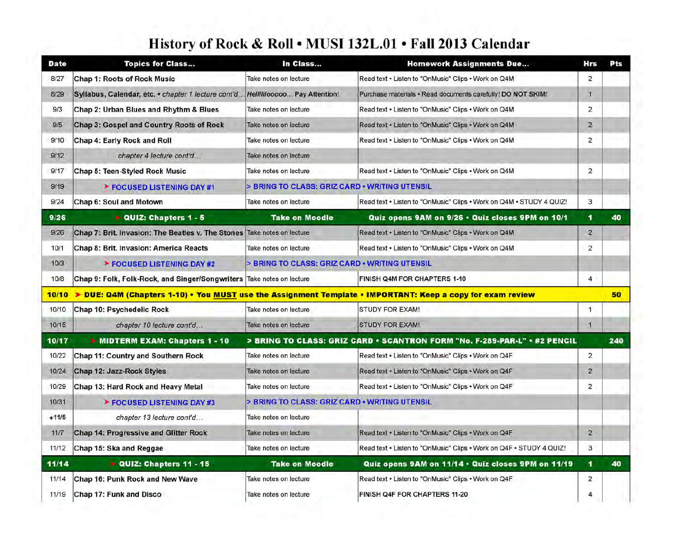# **History of Rock & Roll • MUSI 132L.01 • Fall 2013 Calendar**

| Date    | <b>Topics for Class</b>                                                 | In Class                                           | <b>Homework Assignments Due</b>                                                                          | Hrs            | Pts |  |
|---------|-------------------------------------------------------------------------|----------------------------------------------------|----------------------------------------------------------------------------------------------------------|----------------|-----|--|
| 8/27    | <b>Chap 1: Roots of Rock Music</b>                                      | Take notes on lecture                              | Read text . Listen to "OnMusic" Clips . Work on Q4M                                                      | $\overline{2}$ |     |  |
| 8/29    | Syllabus, Calendar, etc. • chapter 1 lecture cont'd                     | HellIllooooo Pay Attention!                        | Purchase materials · Read documents carefully! DO NOT SKIM!                                              | $\mathbf{I}$   |     |  |
| 9/3     | Chap 2: Urban Blues and Rhythm & Blues                                  | Take notes on lecture                              | Read text . Listen to "OnMusic" Clips . Work on Q4M                                                      | $\overline{2}$ |     |  |
| 9/5     | Chap 3: Gospel and Country Roots of Rock                                | Take notes on lecture                              | Read text · Listen to "OnMusic" Clips · Work on Q4M                                                      | $\overline{2}$ |     |  |
| 9/10    | <b>Chap 4: Early Rock and Roll</b>                                      | Take notes on lecture                              | Read text . Listen to "OnMusic" Clips . Work on Q4M                                                      | $\overline{2}$ |     |  |
| 9/12    | chapter 4 lecture cont'd                                                | Take notes on lecture                              |                                                                                                          |                |     |  |
| 9/17    | Chap 5: Teen-Styled Rock Music                                          | Take notes on lecture                              | Read text • Listen to "OnMusic" Clips • Work on Q4M                                                      | $\overline{2}$ |     |  |
| 9/19    | FOCUSED LISTENING DAY #1                                                | <b>BRING TO CLASS: GRIZ CARD . WRITING UTENSIL</b> |                                                                                                          |                |     |  |
| 9/24    | Chap 6: Soul and Motown                                                 | Take notes on lecture                              | Read text . Listen to "OnMusic" Clips . Work on Q4M . STUDY 4 QUIZ!                                      | 3              |     |  |
| 9/26    | $\blacktriangleright$ QUIZ: Chapters 1 - 5                              | <b>Take on Moodle</b>                              | Quiz opens 9AM on 9/26 • Quiz closes 9PM on 10/1                                                         | 1              | 40  |  |
| 9/26    | Chap 7: Brit. Invasion: The Beatles v. The Stones Take notes on lecture |                                                    | Read text . Listen to "OnMusic" Clips . Work on Q4M                                                      | $\overline{2}$ |     |  |
| 10/1    | Chap 8: Brit. Invasion: America Reacts                                  | Take notes on lecture                              | Read text . Listen to "OnMusic" Clips . Work on Q4M                                                      | $\overline{2}$ |     |  |
| 10/3    | FOCUSED LISTENING DAY #2                                                | > BRING TO CLASS: GRIZ CARD . WRITING UTENSIL      |                                                                                                          |                |     |  |
| 10/8    | Chap 9: Folk, Folk-Rock, and Singer/Songwriters Take notes on lecture   |                                                    | FINISH Q4M FOR CHAPTERS 1-10                                                                             | $\overline{4}$ |     |  |
| 10/10   |                                                                         |                                                    | DUE: Q4M (Chapters 1-10) • You MUST use the Assignment Template • IMPORTANT: Keep a copy for exam review |                | 50  |  |
| 10/10   | Chap 10: Psychedelic Rock                                               | Take notes on lecture                              | <b>STUDY FOR EXAM!</b>                                                                                   | $\mathbf{1}$   |     |  |
| 10/15   | chapter 10 lecture cont'd                                               | Take notes on lecture                              | <b>STUDY FOR EXAM!</b>                                                                                   | $\mathbf{1}$   |     |  |
| 10/17   | <b>EMIDTERM EXAM: Chapters 1 - 10</b>                                   |                                                    | > BRING TO CLASS: GRIZ CARD • SCANTRON FORM "No. F-289-PAR-L" • #2 PENCIL                                |                | 240 |  |
| 10/22   | <b>Chap 11: Country and Southern Rock</b>                               | Take notes on lecture                              | Read text . Listen to "OnMusic" Clips . Work on Q4F                                                      | $\overline{2}$ |     |  |
| 10/24   | Chap 12: Jazz-Rock Styles                                               | Take notes on lecture                              | Read text . Listen to "OnMusic" Clips . Work on Q4F                                                      | $\overline{2}$ |     |  |
| 10/29   | Chap 13: Hard Rock and Heavy Metal                                      | Take notes on lecture                              | Read text . Listen to "OnMusic" Clips . Work on Q4F                                                      | $\overline{2}$ |     |  |
| 10/31   | ▶ FOCUSED LISTENING DAY #3                                              | <b>BRING TO CLASS: GRIZ CARD . WRITING UTENSIL</b> |                                                                                                          |                |     |  |
| $+11/5$ | chapter 13 lecture cont'd                                               | Take notes on lecture                              |                                                                                                          |                |     |  |
| 11/7    | <b>Chap 14: Progressive and Glitter Rock</b>                            | Take notes on lecture                              | Read text . Listen to "OnMusic" Clips . Work on Q4F                                                      | $\overline{2}$ |     |  |
| 11/12   | Chap 15: Ska and Reggae                                                 | Take notes on lecture                              | Read text . Listen to "OnMusic" Clips . Work on Q4F . STUDY 4 QUIZ!                                      | 3              |     |  |
| 11/14   | $\triangleright$ QUIZ: Chapters 11 - 15                                 | <b>Take on Moodle</b>                              | Quiz opens 9AM on 11/14 . Quiz closes 9PM on 11/19                                                       | 1              | 40  |  |
| 11/14   | <b>Chap 16: Punk Rock and New Wave</b>                                  | Take notes on lecture                              | Read text . Listen to "OnMusic" Clips . Work on Q4F                                                      | $\overline{2}$ |     |  |
| 11/19   | Chap 17: Funk and Disco                                                 | Take notes on lecture                              | FINISH Q4F FOR CHAPTERS 11-20                                                                            | $\overline{4}$ |     |  |